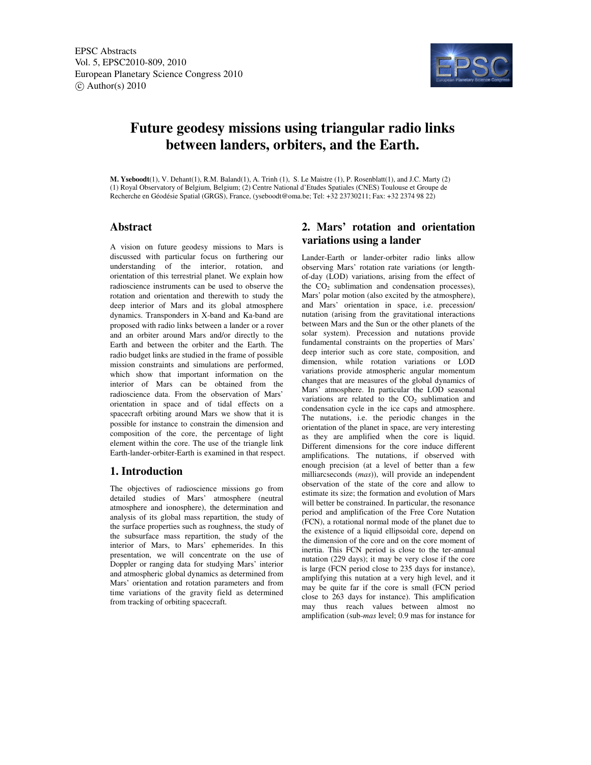

# **Future geodesy missions using triangular radio links between landers, orbiters, and the Earth.**

**M. Yseboodt**(1), V. Dehant(1), R.M. Baland(1), A. Trinh (1), S. Le Maistre (1), P. Rosenblatt(1), and J.C. Marty (2) (1) Royal Observatory of Belgium, Belgium; (2) Centre National d'Etudes Spatiales (CNES) Toulouse et Groupe de Recherche en Géodésie Spatial (GRGS), France, (yseboodt@oma.be; Tel: +32 23730211; Fax: +32 2374 98 22)

### **Abstract**

A vision on future geodesy missions to Mars is discussed with particular focus on furthering our understanding of the interior, rotation, and orientation of this terrestrial planet. We explain how radioscience instruments can be used to observe the rotation and orientation and therewith to study the deep interior of Mars and its global atmosphere dynamics. Transponders in X-band and Ka-band are proposed with radio links between a lander or a rover and an orbiter around Mars and/or directly to the Earth and between the orbiter and the Earth. The radio budget links are studied in the frame of possible mission constraints and simulations are performed, which show that important information on the interior of Mars can be obtained from the radioscience data. From the observation of Mars' orientation in space and of tidal effects on a spacecraft orbiting around Mars we show that it is possible for instance to constrain the dimension and composition of the core, the percentage of light element within the core. The use of the triangle link Earth-lander-orbiter-Earth is examined in that respect.

### **1. Introduction**

The objectives of radioscience missions go from detailed studies of Mars' atmosphere (neutral atmosphere and ionosphere), the determination and analysis of its global mass repartition, the study of the surface properties such as roughness, the study of the subsurface mass repartition, the study of the interior of Mars, to Mars' ephemerides. In this presentation, we will concentrate on the use of Doppler or ranging data for studying Mars' interior and atmospheric global dynamics as determined from Mars' orientation and rotation parameters and from time variations of the gravity field as determined from tracking of orbiting spacecraft.

### **2. Mars' rotation and orientation variations using a lander**

Lander-Earth or lander-orbiter radio links allow observing Mars' rotation rate variations (or lengthof-day (LOD) variations, arising from the effect of the  $CO<sub>2</sub>$  sublimation and condensation processes), Mars' polar motion (also excited by the atmosphere), and Mars' orientation in space, i.e. precession/ nutation (arising from the gravitational interactions between Mars and the Sun or the other planets of the solar system). Precession and nutations provide fundamental constraints on the properties of Mars' deep interior such as core state, composition, and dimension, while rotation variations or LOD variations provide atmospheric angular momentum changes that are measures of the global dynamics of Mars' atmosphere. In particular the LOD seasonal variations are related to the  $CO<sub>2</sub>$  sublimation and condensation cycle in the ice caps and atmosphere. The nutations, i.e. the periodic changes in the orientation of the planet in space, are very interesting as they are amplified when the core is liquid. Different dimensions for the core induce different amplifications. The nutations, if observed with enough precision (at a level of better than a few milliarcseconds (*mas*)), will provide an independent observation of the state of the core and allow to estimate its size; the formation and evolution of Mars will better be constrained. In particular, the resonance period and amplification of the Free Core Nutation (FCN), a rotational normal mode of the planet due to the existence of a liquid ellipsoidal core, depend on the dimension of the core and on the core moment of inertia. This FCN period is close to the ter-annual nutation (229 days); it may be very close if the core is large (FCN period close to 235 days for instance), amplifying this nutation at a very high level, and it may be quite far if the core is small (FCN period close to 263 days for instance). This amplification may thus reach values between almost no amplification (sub-*mas* level; 0.9 mas for instance for